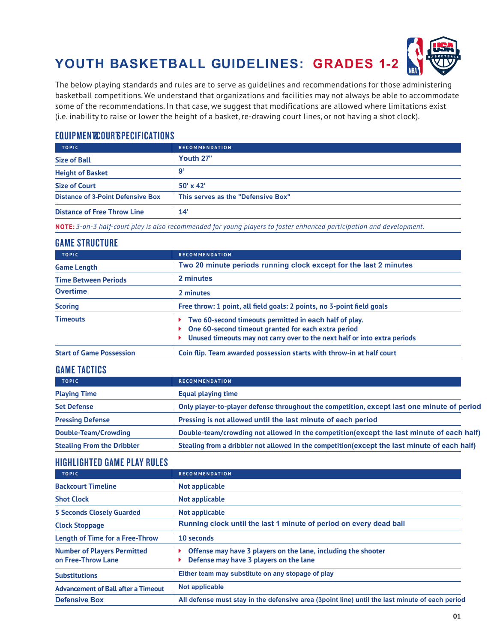

The below playing standards and rules are to serve as guidelines and recommendations for those administering basketball competitions. We understand that organizations and facilities may not always be able to accommodate some of the recommendations. In that case, we suggest that modifications are allowed where limitations exist (i.e. inability to raise or lower the height of a basket, re-drawing court lines, or not having a shot clock).

## EQUIPMENT **EQUIPMENT COURT SPECIFICATIONS**

| <b>TOPIC</b>                             | <b>RECOMMENDATION</b>              |
|------------------------------------------|------------------------------------|
| <b>Size of Ball</b>                      | Youth 27"                          |
| <b>Height of Basket</b>                  | 9                                  |
| <b>Size of Court</b>                     | $50' \times 42'$                   |
| <b>Distance of 3-Point Defensive Box</b> | This serves as the "Defensive Box" |
| <b>Distance of Free Throw Line</b>       | 14'                                |

**NOTE:** *3-on-3 half-court play is also recommended for young players to foster enhanced participation and development.*

#### GAME STRUCTURE

| <b>TOPIC</b>                    | <b>RECOMMENDATION</b>                                                                                                                                                                      |
|---------------------------------|--------------------------------------------------------------------------------------------------------------------------------------------------------------------------------------------|
| <b>Game Length</b>              | Two 20 minute periods running clock except for the last 2 minutes                                                                                                                          |
| <b>Time Between Periods</b>     | 2 minutes                                                                                                                                                                                  |
| <b>Overtime</b>                 | 2 minutes                                                                                                                                                                                  |
| <b>Scoring</b>                  | Free throw: 1 point, all field goals: 2 points, no 3-point field goals                                                                                                                     |
| <b>Timeouts</b>                 | Two 60-second timeouts permitted in each half of play.<br>One 60-second timeout granted for each extra period<br>Unused timeouts may not carry over to the next half or into extra periods |
| <b>Start of Game Possession</b> | Coin flip. Team awarded possession starts with throw-in at half court                                                                                                                      |

## GAME TACTICS

| <b>TOPIC</b>                      | <b>RECOMMENDATION</b>                                                                         |
|-----------------------------------|-----------------------------------------------------------------------------------------------|
| <b>Playing Time</b>               | <b>Equal playing time</b>                                                                     |
| <b>Set Defense</b>                | Only player-to-player defense throughout the competition, except last one minute of period    |
| <b>Pressing Defense</b>           | Pressing is not allowed until the last minute of each period                                  |
| Double-Team/Crowding              | Double-team/crowding not allowed in the competition(except the last minute of each half)      |
| <b>Stealing From the Dribbler</b> | Stealing from a dribbler not allowed in the competition (except the last minute of each half) |

### HIGHLIGHTED GAME PLAY RULES

| <b>TOPIC</b>                                             | <b>RECOMMENDATION</b>                                                                                   |
|----------------------------------------------------------|---------------------------------------------------------------------------------------------------------|
| <b>Backcourt Timeline</b>                                | Not applicable                                                                                          |
| <b>Shot Clock</b>                                        | Not applicable                                                                                          |
| <b>5 Seconds Closely Guarded</b>                         | Not applicable                                                                                          |
| <b>Clock Stoppage</b>                                    | Running clock until the last 1 minute of period on every dead ball                                      |
| <b>Length of Time for a Free-Throw</b>                   | 10 seconds                                                                                              |
| <b>Number of Players Permitted</b><br>on Free-Throw Lane | Offense may have 3 players on the lane, including the shooter<br>Defense may have 3 players on the lane |
| <b>Substitutions</b>                                     | Either team may substitute on any stopage of play                                                       |
| <b>Advancement of Ball after a Timeout</b>               | <b>Not applicable</b>                                                                                   |
| <b>Defensive Box</b>                                     | All defense must stay in the defensive area (3point line) until the last minute of each period          |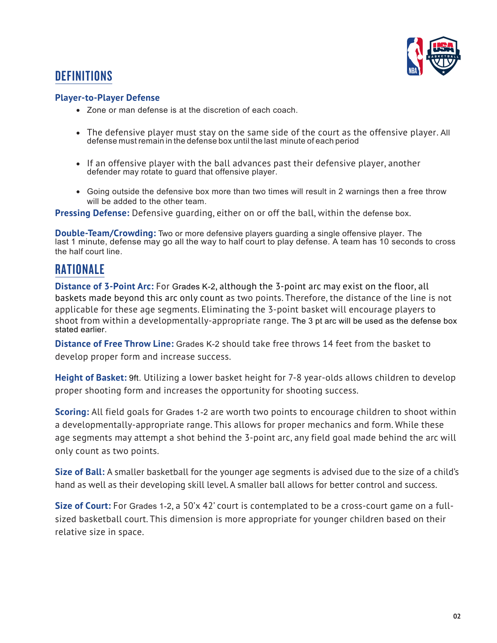

# **DEFINITIONS**

## **Player-to-Player Defense**

- Zone or man defense is at the discretion of each coach.
- The defensive player must stay on the same side of the court as the offensive player. All defense must remain in the defense box until the last minute of each period
- If an offensive player with the ball advances past their defensive player, another defender may rotate to guard that offensive player.
- Going outside the defensive box more than two times will result in 2 warnings then a free throw will be added to the other team.

**Pressing Defense:** Defensive guarding, either on or off the ball, within the defense box.

**Double-Team/Crowding:** Two or more defensive players guarding a single offensive player. The last 1 minute, defense may go all the way to half court to play defense. A team has 10 seconds to cross the half court line.

# RATIONALE

**Distance of 3-Point Arc:** For Grades K-2, although the 3-point arc may exist on the floor, all baskets made beyond this arc only count as two points. Therefore, the distance of the line is not applicable for these age segments. Eliminating the 3-point basket will encourage players to shoot from within a developmentally-appropriate range. The 3 pt arc will be used as the defense box stated earlier.

**Distance of Free Throw Line:** Grades K-2 should take free throws 14 feet from the basket to develop proper form and increase success.

**Height of Basket:** 9ft. Utilizing a lower basket height for 7-8 year-olds allows children to develop proper shooting form and increases the opportunity for shooting success.

**Scoring:** All field goals for Grades 1-2 are worth two points to encourage children to shoot within a developmentally-appropriate range. This allows for proper mechanics and form. While these age segments may attempt a shot behind the 3-point arc, any field goal made behind the arc will only count as two points.

**Size of Ball:** A smaller basketball for the younger age segments is advised due to the size of a child's hand as well as their developing skill level. A smaller ball allows for better control and success.

**Size of Court:** For Grades 1-2, a 50'x 42' court is contemplated to be a cross-court game on a fullsized basketball court. This dimension is more appropriate for younger children based on their relative size in space.